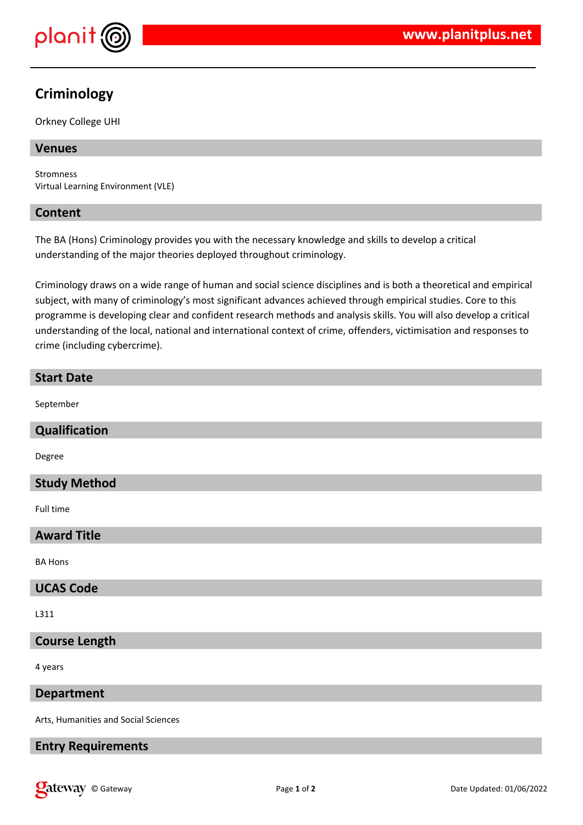

# **Criminology**

Orkney College UHI

# **Venues**

Stromness Virtual Learning Environment (VLE)

# **Content**

The BA (Hons) Criminology provides you with the necessary knowledge and skills to develop a critical understanding of the major theories deployed throughout criminology.

Criminology draws on a wide range of human and social science disciplines and is both a theoretical and empirical subject, with many of criminology's most significant advances achieved through empirical studies. Core to this programme is developing clear and confident research methods and analysis skills. You will also develop a critical understanding of the local, national and international context of crime, offenders, victimisation and responses to crime (including cybercrime).

| <b>Start Date</b>    |
|----------------------|
| September            |
| Qualification        |
| Degree               |
| <b>Study Method</b>  |
| Full time            |
| <b>Award Title</b>   |
| <b>BA Hons</b>       |
| <b>UCAS Code</b>     |
| L311                 |
| <b>Course Length</b> |
| 4 years              |

**Department**

Arts, Humanities and Social Sciences

# **Entry Requirements**